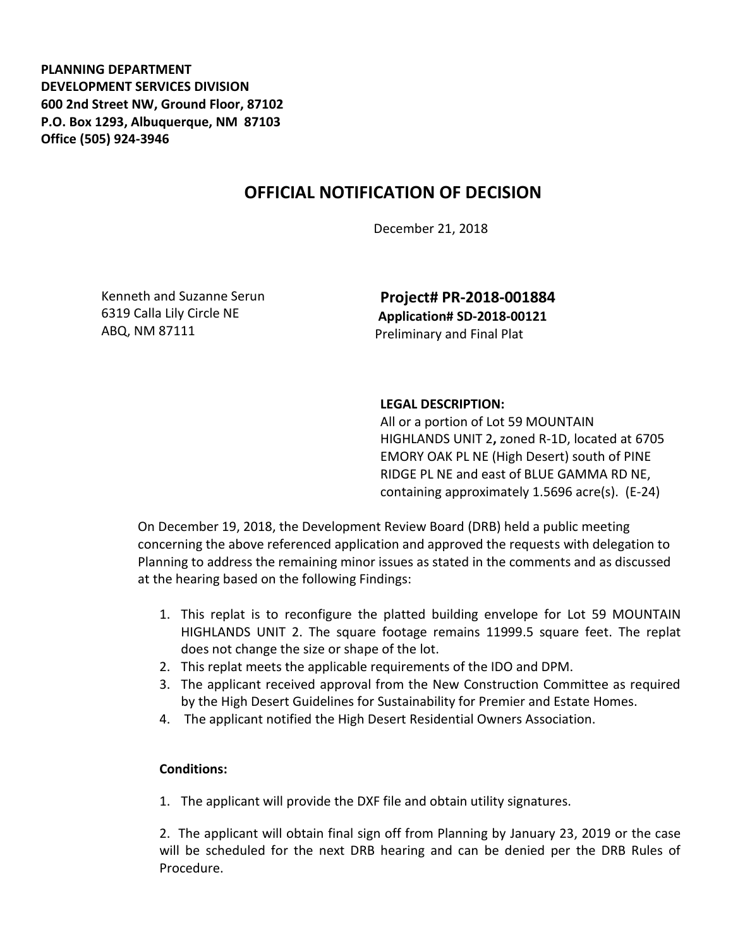**PLANNING DEPARTMENT DEVELOPMENT SERVICES DIVISION 600 2nd Street NW, Ground Floor, 87102 P.O. Box 1293, Albuquerque, NM 87103 Office (505) 924-3946** 

## **OFFICIAL NOTIFICATION OF DECISION**

December 21, 2018

Kenneth and Suzanne Serun 6319 Calla Lily Circle NE ABQ, NM 87111

**Project# PR-2018-001884 Application# SD-2018-00121** Preliminary and Final Plat

## **LEGAL DESCRIPTION:**

All or a portion of Lot 59 MOUNTAIN HIGHLANDS UNIT 2**,** zoned R-1D, located at 6705 EMORY OAK PL NE (High Desert) south of PINE RIDGE PL NE and east of BLUE GAMMA RD NE, containing approximately 1.5696 acre(s). (E-24)

On December 19, 2018, the Development Review Board (DRB) held a public meeting concerning the above referenced application and approved the requests with delegation to Planning to address the remaining minor issues as stated in the comments and as discussed at the hearing based on the following Findings:

- 1. This replat is to reconfigure the platted building envelope for Lot 59 MOUNTAIN HIGHLANDS UNIT 2. The square footage remains 11999.5 square feet. The replat does not change the size or shape of the lot.
- 2. This replat meets the applicable requirements of the IDO and DPM.
- 3. The applicant received approval from the New Construction Committee as required by the High Desert Guidelines for Sustainability for Premier and Estate Homes.
- 4. The applicant notified the High Desert Residential Owners Association.

## **Conditions:**

1. The applicant will provide the DXF file and obtain utility signatures.

2. The applicant will obtain final sign off from Planning by January 23, 2019 or the case will be scheduled for the next DRB hearing and can be denied per the DRB Rules of Procedure.